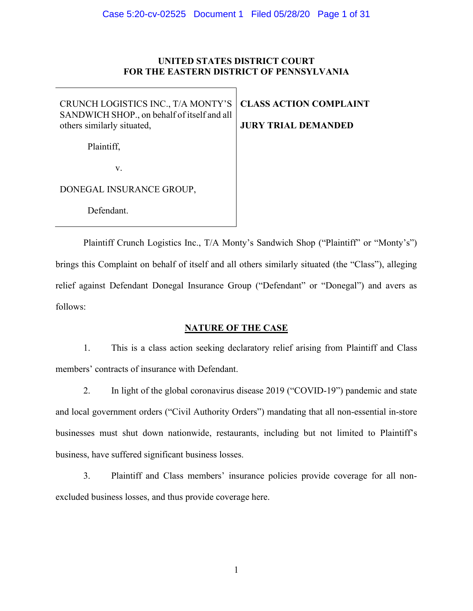#### **UNITED STATES DISTRICT COURT FOR THE EASTERN DISTRICT OF PENNSYLVANIA**

CRUNCH LOGISTICS INC., T/A MONTY'S SANDWICH SHOP., on behalf of itself and all others similarly situated,

**CLASS ACTION COMPLAINT JURY TRIAL DEMANDED**

Plaintiff,

v.

DONEGAL INSURANCE GROUP,

Defendant.

Plaintiff Crunch Logistics Inc., T/A Monty's Sandwich Shop ("Plaintiff" or "Monty's") brings this Complaint on behalf of itself and all others similarly situated (the "Class"), alleging relief against Defendant Donegal Insurance Group ("Defendant" or "Donegal") and avers as follows:

# **NATURE OF THE CASE**

1. This is a class action seeking declaratory relief arising from Plaintiff and Class members' contracts of insurance with Defendant.

2. In light of the global coronavirus disease 2019 ("COVID-19") pandemic and state and local government orders ("Civil Authority Orders") mandating that all non-essential in-store businesses must shut down nationwide, restaurants, including but not limited to Plaintiff's business, have suffered significant business losses.

3. Plaintiff and Class members' insurance policies provide coverage for all nonexcluded business losses, and thus provide coverage here.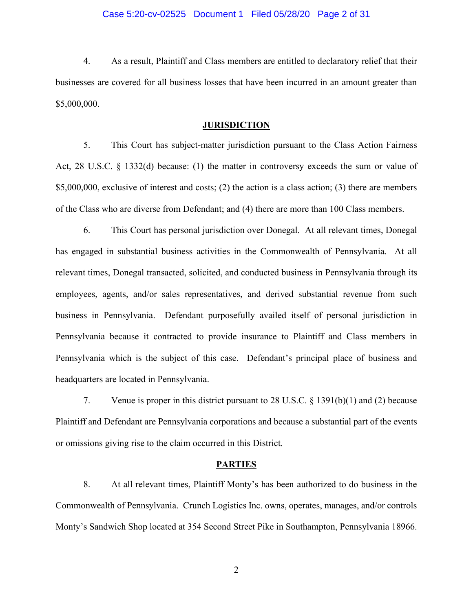#### Case 5:20-cv-02525 Document 1 Filed 05/28/20 Page 2 of 31

4. As a result, Plaintiff and Class members are entitled to declaratory relief that their businesses are covered for all business losses that have been incurred in an amount greater than \$5,000,000.

#### **JURISDICTION**

5. This Court has subject-matter jurisdiction pursuant to the Class Action Fairness Act, 28 U.S.C. § 1332(d) because: (1) the matter in controversy exceeds the sum or value of \$5,000,000, exclusive of interest and costs; (2) the action is a class action; (3) there are members of the Class who are diverse from Defendant; and (4) there are more than 100 Class members.

6. This Court has personal jurisdiction over Donegal. At all relevant times, Donegal has engaged in substantial business activities in the Commonwealth of Pennsylvania. At all relevant times, Donegal transacted, solicited, and conducted business in Pennsylvania through its employees, agents, and/or sales representatives, and derived substantial revenue from such business in Pennsylvania. Defendant purposefully availed itself of personal jurisdiction in Pennsylvania because it contracted to provide insurance to Plaintiff and Class members in Pennsylvania which is the subject of this case. Defendant's principal place of business and headquarters are located in Pennsylvania.

7. Venue is proper in this district pursuant to 28 U.S.C. § 1391(b)(1) and (2) because Plaintiff and Defendant are Pennsylvania corporations and because a substantial part of the events or omissions giving rise to the claim occurred in this District.

#### **PARTIES**

8. At all relevant times, Plaintiff Monty's has been authorized to do business in the Commonwealth of Pennsylvania. Crunch Logistics Inc. owns, operates, manages, and/or controls Monty's Sandwich Shop located at 354 Second Street Pike in Southampton, Pennsylvania 18966.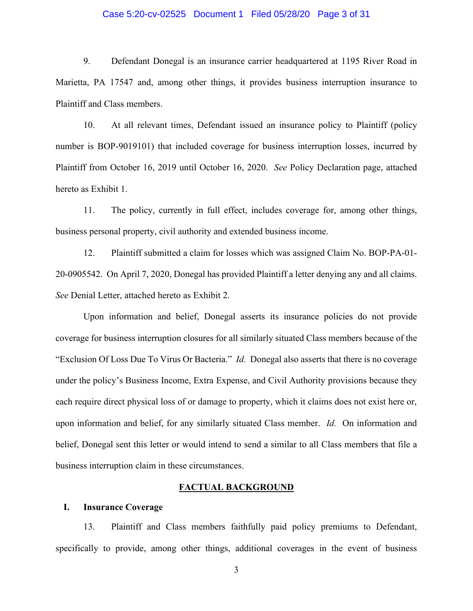#### Case 5:20-cv-02525 Document 1 Filed 05/28/20 Page 3 of 31

9. Defendant Donegal is an insurance carrier headquartered at 1195 River Road in Marietta, PA 17547 and, among other things, it provides business interruption insurance to Plaintiff and Class members.

10. At all relevant times, Defendant issued an insurance policy to Plaintiff (policy number is BOP-9019101) that included coverage for business interruption losses, incurred by Plaintiff from October 16, 2019 until October 16, 2020. *See* Policy Declaration page, attached hereto as Exhibit 1.

11. The policy, currently in full effect, includes coverage for, among other things, business personal property, civil authority and extended business income.

12. Plaintiff submitted a claim for losses which was assigned Claim No. BOP-PA-01- 20-0905542. On April 7, 2020, Donegal has provided Plaintiff a letter denying any and all claims. *See* Denial Letter, attached hereto as Exhibit 2.

Upon information and belief, Donegal asserts its insurance policies do not provide coverage for business interruption closures for all similarly situated Class members because of the "Exclusion Of Loss Due To Virus Or Bacteria." *Id.* Donegal also asserts that there is no coverage under the policy's Business Income, Extra Expense, and Civil Authority provisions because they each require direct physical loss of or damage to property, which it claims does not exist here or, upon information and belief, for any similarly situated Class member. *Id.* On information and belief, Donegal sent this letter or would intend to send a similar to all Class members that file a business interruption claim in these circumstances.

#### **FACTUAL BACKGROUND**

#### **I. Insurance Coverage**

13. Plaintiff and Class members faithfully paid policy premiums to Defendant, specifically to provide, among other things, additional coverages in the event of business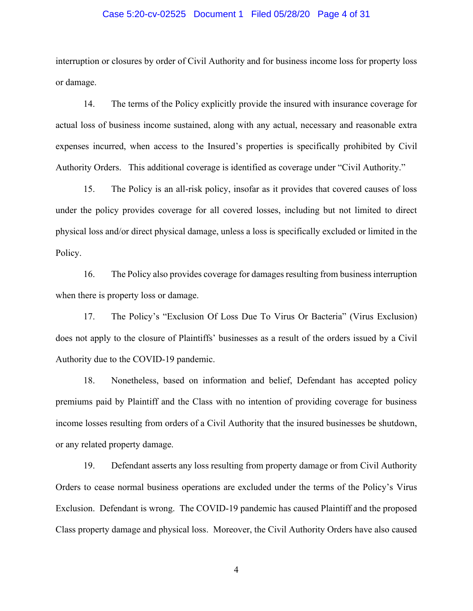#### Case 5:20-cv-02525 Document 1 Filed 05/28/20 Page 4 of 31

interruption or closures by order of Civil Authority and for business income loss for property loss or damage.

14. The terms of the Policy explicitly provide the insured with insurance coverage for actual loss of business income sustained, along with any actual, necessary and reasonable extra expenses incurred, when access to the Insured's properties is specifically prohibited by Civil Authority Orders. This additional coverage is identified as coverage under "Civil Authority."

15. The Policy is an all-risk policy, insofar as it provides that covered causes of loss under the policy provides coverage for all covered losses, including but not limited to direct physical loss and/or direct physical damage, unless a loss is specifically excluded or limited in the Policy.

16. The Policy also provides coverage for damages resulting from business interruption when there is property loss or damage.

17. The Policy's "Exclusion Of Loss Due To Virus Or Bacteria" (Virus Exclusion) does not apply to the closure of Plaintiffs' businesses as a result of the orders issued by a Civil Authority due to the COVID-19 pandemic.

18. Nonetheless, based on information and belief, Defendant has accepted policy premiums paid by Plaintiff and the Class with no intention of providing coverage for business income losses resulting from orders of a Civil Authority that the insured businesses be shutdown, or any related property damage.

19. Defendant asserts any loss resulting from property damage or from Civil Authority Orders to cease normal business operations are excluded under the terms of the Policy's Virus Exclusion. Defendant is wrong. The COVID-19 pandemic has caused Plaintiff and the proposed Class property damage and physical loss. Moreover, the Civil Authority Orders have also caused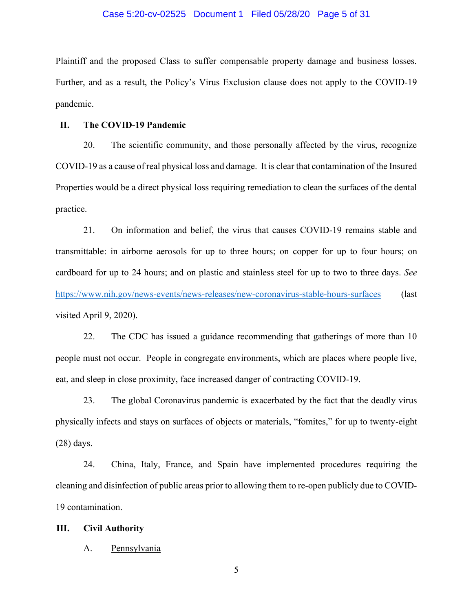#### Case 5:20-cv-02525 Document 1 Filed 05/28/20 Page 5 of 31

Plaintiff and the proposed Class to suffer compensable property damage and business losses. Further, and as a result, the Policy's Virus Exclusion clause does not apply to the COVID-19 pandemic.

#### **II. The COVID-19 Pandemic**

20. The scientific community, and those personally affected by the virus, recognize COVID-19 as a cause of real physical loss and damage. It is clear that contamination of the Insured Properties would be a direct physical loss requiring remediation to clean the surfaces of the dental practice.

21. On information and belief, the virus that causes COVID-19 remains stable and transmittable: in airborne aerosols for up to three hours; on copper for up to four hours; on cardboard for up to 24 hours; and on plastic and stainless steel for up to two to three days. *See* <https://www.nih.gov/news-events/news-releases/new-coronavirus-stable-hours-surfaces> (last visited April 9, 2020).

22. The CDC has issued a guidance recommending that gatherings of more than 10 people must not occur. People in congregate environments, which are places where people live, eat, and sleep in close proximity, face increased danger of contracting COVID-19.

23. The global Coronavirus pandemic is exacerbated by the fact that the deadly virus physically infects and stays on surfaces of objects or materials, "fomites," for up to twenty-eight (28) days.

24. China, Italy, France, and Spain have implemented procedures requiring the cleaning and disinfection of public areas prior to allowing them to re-open publicly due to COVID-19 contamination.

#### **III. Civil Authority**

#### A. Pennsylvania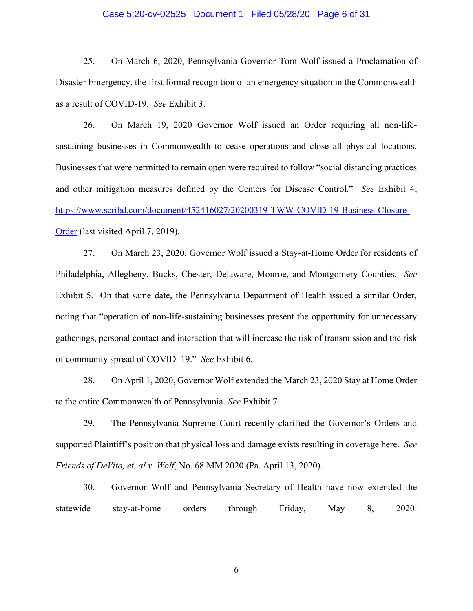#### Case 5:20-cv-02525 Document 1 Filed 05/28/20 Page 6 of 31

25. On March 6, 2020, Pennsylvania Governor Tom Wolf issued a Proclamation of Disaster Emergency, the first formal recognition of an emergency situation in the Commonwealth as a result of COVID-19. *See* Exhibit 3.

26. On March 19, 2020 Governor Wolf issued an Order requiring all non-lifesustaining businesses in Commonwealth to cease operations and close all physical locations. Businesses that were permitted to remain open were required to follow "social distancing practices and other mitigation measures defined by the Centers for Disease Control." *See* Exhibit 4; [https://www.scribd.com/document/452416027/20200319-TWW-COVID-19-Business-Closure-](https://www.scribd.com/document/452416027/20200319-TWW-COVID-19-Business-Closure-Order)[Order](https://www.scribd.com/document/452416027/20200319-TWW-COVID-19-Business-Closure-Order) (last visited April 7, 2019).

27. On March 23, 2020, Governor Wolf issued a Stay-at-Home Order for residents of Philadelphia, Allegheny, Bucks, Chester, Delaware, Monroe, and Montgomery Counties. *See*  Exhibit 5. On that same date, the Pennsylvania Department of Health issued a similar Order, noting that "operation of non-life-sustaining businesses present the opportunity for unnecessary gatherings, personal contact and interaction that will increase the risk of transmission and the risk of community spread of COVID–19." *See* Exhibit 6.

28. On April 1, 2020, Governor Wolf extended the March 23, 2020 Stay at Home Order to the entire Commonwealth of Pennsylvania. *See* Exhibit 7.

29. The Pennsylvania Supreme Court recently clarified the Governor's Orders and supported Plaintiff's position that physical loss and damage exists resulting in coverage here. *See Friends of DeVito, et. al v. Wolf*, No. 68 MM 2020 (Pa. April 13, 2020).

30. Governor Wolf and Pennsylvania Secretary of Health have now extended the statewide stay-at-home orders through Friday, May 8, 2020.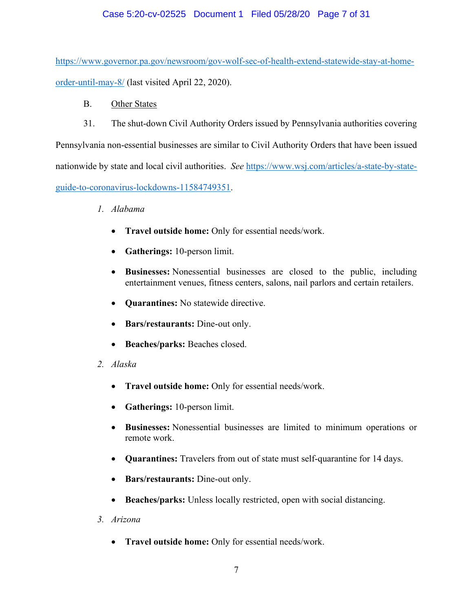# Case 5:20-cv-02525 Document 1 Filed 05/28/20 Page 7 of 31

[https://www.governor.pa.gov/newsroom/gov-wolf-sec-of-health-extend-statewide-stay-at-home](https://www.governor.pa.gov/newsroom/gov-wolf-sec-of-health-extend-statewide-stay-at-home-order-until-may-8/)[order-until-may-8/](https://www.governor.pa.gov/newsroom/gov-wolf-sec-of-health-extend-statewide-stay-at-home-order-until-may-8/) (last visited April 22, 2020).

- B. Other States
- 31. The shut-down Civil Authority Orders issued by Pennsylvania authorities covering

Pennsylvania non-essential businesses are similar to Civil Authority Orders that have been issued nationwide by state and local civil authorities. *See* [https://www.wsj.com/articles/a-state-by-state](https://www.wsj.com/articles/a-state-by-state-guide-to-coronavirus-lockdowns-11584749351)[guide-to-coronavirus-lockdowns-11584749351.](https://www.wsj.com/articles/a-state-by-state-guide-to-coronavirus-lockdowns-11584749351)

- *1. Alabama*
	- **Travel outside home:** Only for essential needs/work.
	- **Gatherings:** 10-person limit.
	- **Businesses:** Nonessential businesses are closed to the public, including entertainment venues, fitness centers, salons, nail parlors and certain retailers.
	- **Quarantines:** No statewide directive.
	- **Bars/restaurants:** Dine-out only.
	- **Beaches/parks:** Beaches closed.
- *2. Alaska*
	- **Travel outside home:** Only for essential needs/work.
	- **Gatherings:** 10-person limit.
	- **Businesses:** Nonessential businesses are limited to minimum operations or remote work.
	- **Quarantines:** Travelers from out of state must self-quarantine for 14 days.
	- **Bars/restaurants:** Dine-out only.
	- **Beaches/parks:** Unless locally restricted, open with social distancing.
- *3. Arizona*
	- **Travel outside home:** Only for essential needs/work.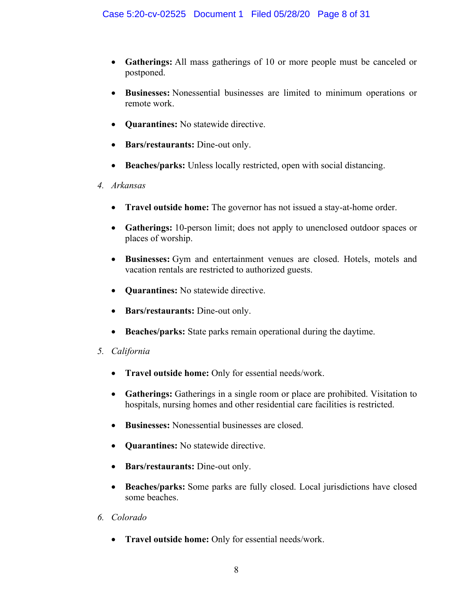- **Gatherings:** All mass gatherings of 10 or more people must be canceled or postponed.
- **Businesses:** Nonessential businesses are limited to minimum operations or remote work.
- **Quarantines:** No statewide directive.
- **Bars/restaurants:** Dine-out only.
- **Beaches/parks:** Unless locally restricted, open with social distancing.
- *4. Arkansas*
	- **Travel outside home:** The governor has not issued a stay-at-home order.
	- **Gatherings:** 10-person limit; does not apply to unenclosed outdoor spaces or places of worship.
	- **Businesses:** Gym and entertainment venues are closed. Hotels, motels and vacation rentals are restricted to authorized guests.
	- **Quarantines:** No statewide directive.
	- **Bars/restaurants:** Dine-out only.
	- **Beaches/parks:** State parks remain operational during the daytime.
- *5. California*
	- **Travel outside home:** Only for essential needs/work.
	- **Gatherings:** Gatherings in a single room or place are prohibited. Visitation to hospitals, nursing homes and other residential care facilities is restricted.
	- **Businesses:** Nonessential businesses are closed.
	- **Quarantines:** No statewide directive.
	- **Bars/restaurants:** Dine-out only.
	- **Beaches/parks:** Some parks are fully closed. Local jurisdictions have closed some beaches.
- *6. Colorado*
	- **Travel outside home:** Only for essential needs/work.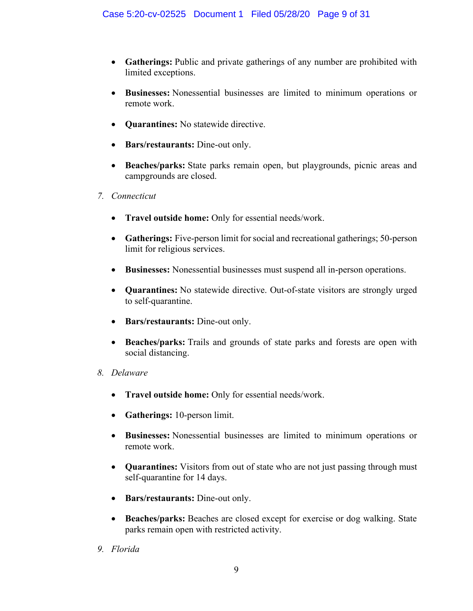- **Gatherings:** Public and private gatherings of any number are prohibited with limited exceptions.
- **Businesses:** Nonessential businesses are limited to minimum operations or remote work.
- **Quarantines:** No statewide directive.
- **Bars/restaurants:** Dine-out only.
- **Beaches/parks:** State parks remain open, but playgrounds, picnic areas and campgrounds are closed.
- *7. Connecticut*
	- **Travel outside home:** Only for essential needs/work.
	- **Gatherings:** Five-person limit for social and recreational gatherings; 50-person limit for religious services.
	- **Businesses:** Nonessential businesses must suspend all in-person operations.
	- **Quarantines:** No statewide directive. Out-of-state visitors are strongly urged to self-quarantine.
	- **Bars/restaurants:** Dine-out only.
	- **Beaches/parks:** Trails and grounds of state parks and forests are open with social distancing.
- *8. Delaware*
	- **Travel outside home:** Only for essential needs/work.
	- **Gatherings:** 10-person limit.
	- **Businesses:** Nonessential businesses are limited to minimum operations or remote work.
	- **Quarantines:** Visitors from out of state who are not just passing through must self-quarantine for 14 days.
	- **Bars/restaurants:** Dine-out only.
	- **Beaches/parks:** Beaches are closed except for exercise or dog walking. State parks remain open with restricted activity.
- *9. Florida*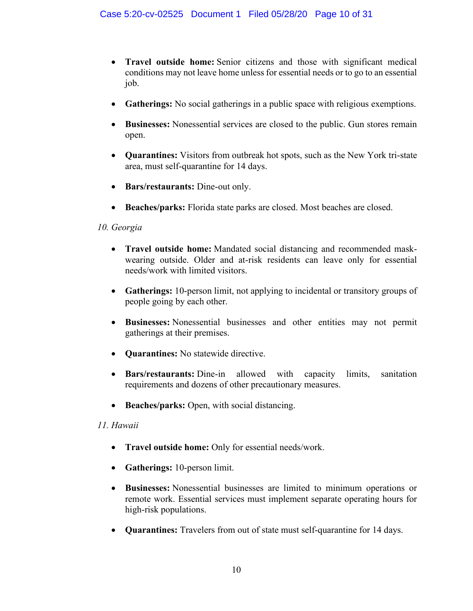- **Travel outside home:** Senior citizens and those with significant medical conditions may not leave home unless for essential needs or to go to an essential job.
- **Gatherings:** No social gatherings in a public space with religious exemptions.
- **Businesses:** Nonessential services are closed to the public. Gun stores remain open.
- **Quarantines:** Visitors from outbreak hot spots, such as the New York tri-state area, must self-quarantine for 14 days.
- **Bars/restaurants:** Dine-out only.
- **Beaches/parks:** Florida state parks are closed. Most beaches are closed.

#### *10. Georgia*

- **Travel outside home:** Mandated social distancing and recommended maskwearing outside. Older and at-risk residents can leave only for essential needs/work with limited visitors.
- **Gatherings:** 10-person limit, not applying to incidental or transitory groups of people going by each other.
- **Businesses:** Nonessential businesses and other entities may not permit gatherings at their premises.
- **Quarantines:** No statewide directive.
- **Bars/restaurants:** Dine-in allowed with capacity limits, sanitation requirements and dozens of other precautionary measures.
- **Beaches/parks:** Open, with social distancing.

# *11. Hawaii*

- **Travel outside home:** Only for essential needs/work.
- **Gatherings:** 10-person limit.
- **Businesses:** Nonessential businesses are limited to minimum operations or remote work. Essential services must implement separate operating hours for high-risk populations.
- **Quarantines:** Travelers from out of state must self-quarantine for 14 days.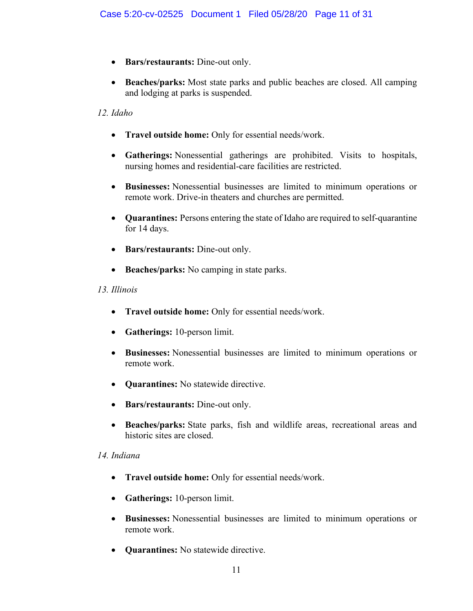- **Bars/restaurants:** Dine-out only.
- **Beaches/parks:** Most state parks and public beaches are closed. All camping and lodging at parks is suspended.

#### *12. Idaho*

- **Travel outside home:** Only for essential needs/work.
- **Gatherings:** Nonessential gatherings are prohibited. Visits to hospitals, nursing homes and residential-care facilities are restricted.
- **Businesses:** Nonessential businesses are limited to minimum operations or remote work. Drive-in theaters and churches are permitted.
- **Quarantines:** Persons entering the state of Idaho are required to self-quarantine for 14 days.
- **Bars/restaurants:** Dine-out only.
- **Beaches/parks:** No camping in state parks.

#### *13. Illinois*

- **Travel outside home:** Only for essential needs/work.
- **Gatherings:** 10-person limit.
- **Businesses:** Nonessential businesses are limited to minimum operations or remote work.
- **Quarantines:** No statewide directive.
- **Bars/restaurants:** Dine-out only.
- **Beaches/parks:** State parks, fish and wildlife areas, recreational areas and historic sites are closed.

#### *14. Indiana*

- **Travel outside home:** Only for essential needs/work.
- **Gatherings:** 10-person limit.
- **Businesses:** Nonessential businesses are limited to minimum operations or remote work.
- **Quarantines:** No statewide directive.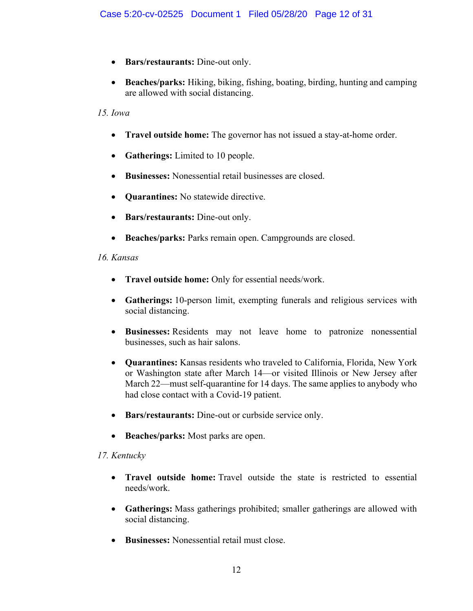- **Bars/restaurants:** Dine-out only.
- **Beaches/parks:** Hiking, biking, fishing, boating, birding, hunting and camping are allowed with social distancing.

# *15. Iowa*

- **Travel outside home:** The governor has not issued a stay-at-home order.
- **Gatherings:** Limited to 10 people.
- **Businesses:** Nonessential retail businesses are closed.
- **Quarantines:** No statewide directive.
- **Bars/restaurants:** Dine-out only.
- **Beaches/parks:** Parks remain open. Campgrounds are closed.

#### *16. Kansas*

- **Travel outside home:** Only for essential needs/work.
- **Gatherings:** 10-person limit, exempting funerals and religious services with social distancing.
- **Businesses:** Residents may not leave home to patronize nonessential businesses, such as hair salons.
- **Quarantines:** Kansas residents who traveled to California, Florida, New York or Washington state after March 14—or visited Illinois or New Jersey after March 22—must self-quarantine for 14 days. The same applies to anybody who had close contact with a Covid-19 patient.
- **Bars/restaurants:** Dine-out or curbside service only.
- **Beaches/parks:** Most parks are open.

# *17. Kentucky*

- **Travel outside home:** Travel outside the state is restricted to essential needs/work.
- **Gatherings:** Mass gatherings prohibited; smaller gatherings are allowed with social distancing.
- **Businesses:** Nonessential retail must close.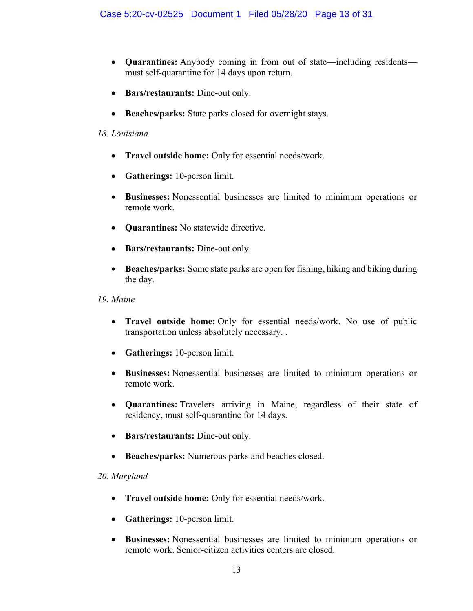- **Quarantines:** Anybody coming in from out of state—including residents must self-quarantine for 14 days upon return.
- **Bars/restaurants:** Dine-out only.
- **Beaches/parks:** State parks closed for overnight stays.

#### *18. Louisiana*

- **Travel outside home:** Only for essential needs/work.
- **Gatherings:** 10-person limit.
- **Businesses:** Nonessential businesses are limited to minimum operations or remote work.
- **Quarantines:** No statewide directive.
- **Bars/restaurants:** Dine-out only.
- **Beaches/parks:** Some state parks are open for fishing, hiking and biking during the day.

#### *19. Maine*

- **Travel outside home:** Only for essential needs/work. No use of public transportation unless absolutely necessary. .
- **Gatherings:** 10-person limit.
- **Businesses:** Nonessential businesses are limited to minimum operations or remote work.
- **Quarantines:** Travelers arriving in Maine, regardless of their state of residency, must self-quarantine for 14 days.
- **Bars/restaurants:** Dine-out only.
- **Beaches/parks:** Numerous parks and beaches closed.

# *20. Maryland*

- **Travel outside home:** Only for essential needs/work.
- **Gatherings:** 10-person limit.
- **Businesses:** Nonessential businesses are limited to minimum operations or remote work. Senior-citizen activities centers are closed.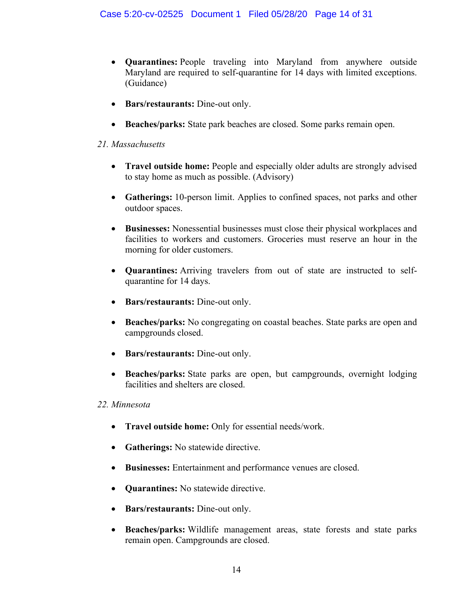- **Quarantines:** People traveling into Maryland from anywhere outside Maryland are required to self-quarantine for 14 days with limited exceptions. (Guidance)
- **Bars/restaurants:** Dine-out only.
- **Beaches/parks:** State park beaches are closed. Some parks remain open.

# *21. Massachusetts*

- **Travel outside home:** People and especially older adults are strongly advised to stay home as much as possible. (Advisory)
- **Gatherings:** 10-person limit. Applies to confined spaces, not parks and other outdoor spaces.
- **Businesses:** Nonessential businesses must close their physical workplaces and facilities to workers and customers. Groceries must reserve an hour in the morning for older customers.
- **Quarantines:** Arriving travelers from out of state are instructed to selfquarantine for 14 days.
- **Bars/restaurants:** Dine-out only.
- **Beaches/parks:** No congregating on coastal beaches. State parks are open and campgrounds closed.
- **Bars/restaurants:** Dine-out only.
- **Beaches/parks:** State parks are open, but campgrounds, overnight lodging facilities and shelters are closed.

# *22. Minnesota*

- **Travel outside home:** Only for essential needs/work.
- **Gatherings:** No statewide directive.
- **Businesses:** Entertainment and performance venues are closed.
- **Quarantines:** No statewide directive.
- **Bars/restaurants:** Dine-out only.
- **Beaches/parks:** Wildlife management areas, state forests and state parks remain open. Campgrounds are closed.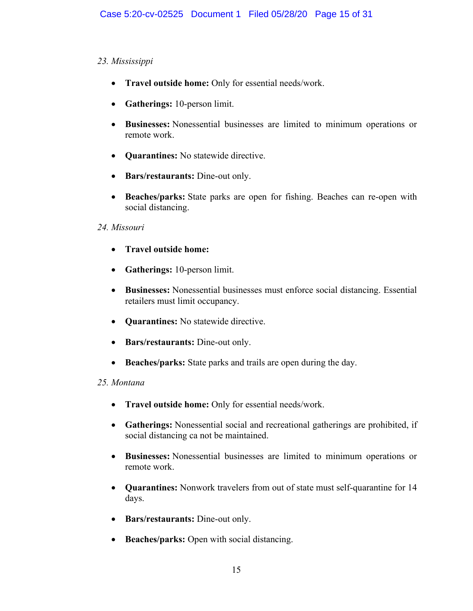# *23. Mississippi*

- **Travel outside home:** Only for essential needs/work.
- **Gatherings:** 10-person limit.
- **Businesses:** Nonessential businesses are limited to minimum operations or remote work.
- **Quarantines:** No statewide directive.
- **Bars/restaurants:** Dine-out only.
- **Beaches/parks:** State parks are open for fishing. Beaches can re-open with social distancing.

# *24. Missouri*

- **Travel outside home:**
- **Gatherings:** 10-person limit.
- **Businesses:** Nonessential businesses must enforce social distancing. Essential retailers must limit occupancy.
- **Quarantines:** No statewide directive.
- **Bars/restaurants:** Dine-out only.
- **Beaches/parks:** State parks and trails are open during the day.

# *25. Montana*

- **Travel outside home:** Only for essential needs/work.
- **Gatherings:** Nonessential social and recreational gatherings are prohibited, if social distancing ca not be maintained.
- **Businesses:** Nonessential businesses are limited to minimum operations or remote work.
- **Quarantines:** Nonwork travelers from out of state must self-quarantine for 14 days.
- **Bars/restaurants:** Dine-out only.
- **Beaches/parks:** Open with social distancing.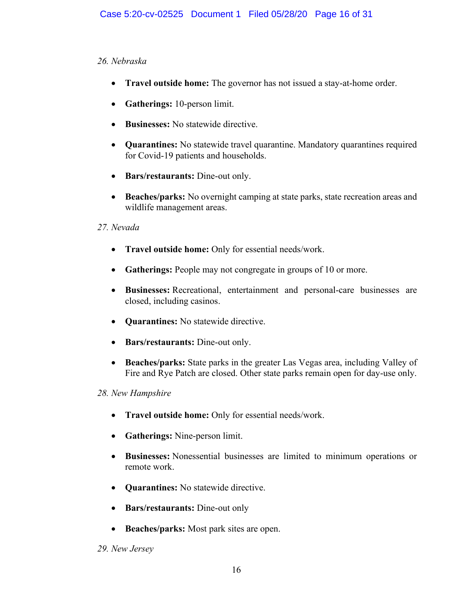# *26. Nebraska*

- **Travel outside home:** The governor has not issued a stay-at-home order.
- **Gatherings:** 10-person limit.
- **Businesses:** No statewide directive.
- **Quarantines:** No statewide travel quarantine. Mandatory quarantines required for Covid-19 patients and households.
- **Bars/restaurants:** Dine-out only.
- **Beaches/parks:** No overnight camping at state parks, state recreation areas and wildlife management areas.

# *27. Nevada*

- **Travel outside home:** Only for essential needs/work.
- **Gatherings:** People may not congregate in groups of 10 or more.
- **Businesses:** Recreational, entertainment and personal-care businesses are closed, including casinos.
- **Quarantines:** No statewide directive.
- **Bars/restaurants:** Dine-out only.
- **Beaches/parks:** State parks in the greater Las Vegas area, including Valley of Fire and Rye Patch are closed. Other state parks remain open for day-use only.

# *28. New Hampshire*

- **Travel outside home:** Only for essential needs/work.
- **Gatherings:** Nine-person limit.
- **Businesses:** Nonessential businesses are limited to minimum operations or remote work.
- **Quarantines:** No statewide directive.
- **Bars/restaurants:** Dine-out only
- **Beaches/parks:** Most park sites are open.

# *29. New Jersey*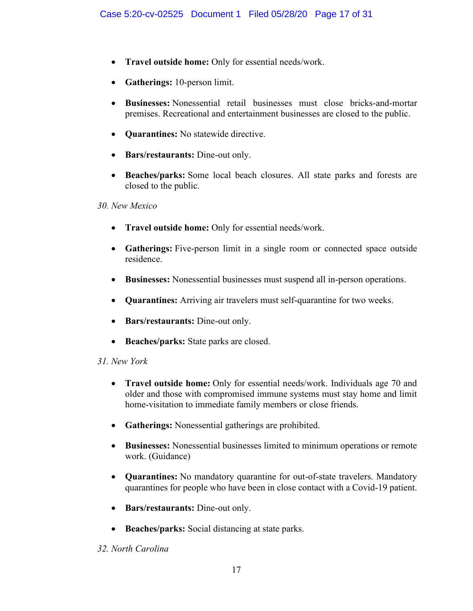- **Travel outside home:** Only for essential needs/work.
- **Gatherings:** 10-person limit.
- **Businesses:** Nonessential retail businesses must close bricks-and-mortar premises. Recreational and entertainment businesses are closed to the public.
- **Quarantines:** No statewide directive.
- **Bars/restaurants:** Dine-out only.
- **Beaches/parks:** Some local beach closures. All state parks and forests are closed to the public.

*30. New Mexico*

- **Travel outside home:** Only for essential needs/work.
- **Gatherings:** Five-person limit in a single room or connected space outside residence.
- **Businesses:** Nonessential businesses must suspend all in-person operations.
- **Quarantines:** Arriving air travelers must self-quarantine for two weeks.
- **Bars/restaurants:** Dine-out only.
- **Beaches/parks:** State parks are closed.

# *31. New York*

- **Travel outside home:** Only for essential needs/work. Individuals age 70 and older and those with compromised immune systems must stay home and limit home-visitation to immediate family members or close friends.
- **Gatherings:** Nonessential gatherings are prohibited.
- **Businesses:** Nonessential businesses limited to minimum operations or remote work. (Guidance)
- **Quarantines:** No mandatory quarantine for out-of-state travelers. Mandatory quarantines for people who have been in close contact with a Covid-19 patient.
- **Bars/restaurants:** Dine-out only.
- **Beaches/parks:** Social distancing at state parks.

# *32. North Carolina*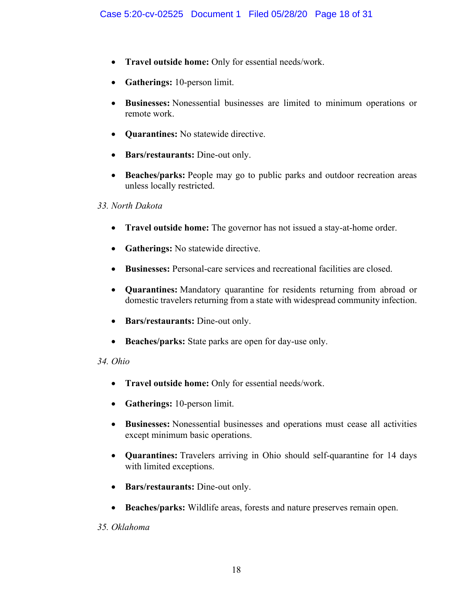- **Travel outside home:** Only for essential needs/work.
- **Gatherings:** 10-person limit.
- **Businesses:** Nonessential businesses are limited to minimum operations or remote work.
- **Quarantines:** No statewide directive.
- **Bars/restaurants:** Dine-out only.
- **Beaches/parks:** People may go to public parks and outdoor recreation areas unless locally restricted.

#### *33. North Dakota*

- **Travel outside home:** The governor has not issued a stay-at-home order.
- **Gatherings:** No statewide directive.
- **Businesses:** Personal-care services and recreational facilities are closed.
- **Quarantines:** Mandatory quarantine for residents returning from abroad or domestic travelers returning from a state with widespread community infection.
- **Bars/restaurants:** Dine-out only.
- **Beaches/parks:** State parks are open for day-use only.

# *34. Ohio*

- **Travel outside home:** Only for essential needs/work.
- **Gatherings:** 10-person limit.
- **Businesses:** Nonessential businesses and operations must cease all activities except minimum basic operations.
- **Quarantines:** Travelers arriving in Ohio should self-quarantine for 14 days with limited exceptions.
- **Bars/restaurants:** Dine-out only.
- **Beaches/parks:** Wildlife areas, forests and nature preserves remain open.

# *35. Oklahoma*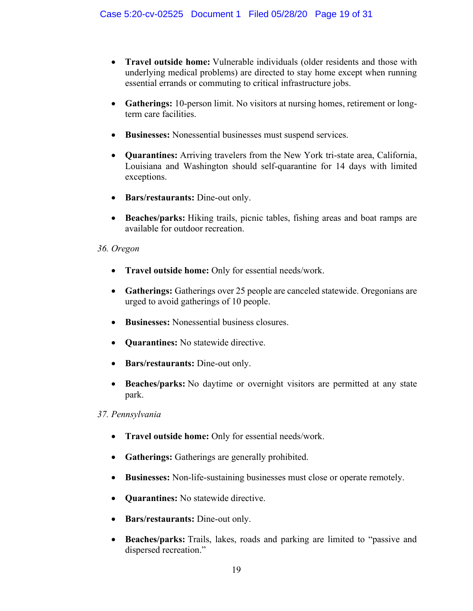- **Travel outside home:** Vulnerable individuals (older residents and those with underlying medical problems) are directed to stay home except when running essential errands or commuting to critical infrastructure jobs.
- **Gatherings:** 10-person limit. No visitors at nursing homes, retirement or longterm care facilities.
- **Businesses:** Nonessential businesses must suspend services.
- **Quarantines:** Arriving travelers from the New York tri-state area, California, Louisiana and Washington should self-quarantine for 14 days with limited exceptions.
- **Bars/restaurants:** Dine-out only.
- **Beaches/parks:** Hiking trails, picnic tables, fishing areas and boat ramps are available for outdoor recreation.

# *36. Oregon*

- **Travel outside home:** Only for essential needs/work.
- **Gatherings:** Gatherings over 25 people are canceled statewide. Oregonians are urged to avoid gatherings of 10 people.
- **Businesses:** Nonessential business closures.
- **Quarantines:** No statewide directive.
- **Bars/restaurants:** Dine-out only.
- **Beaches/parks:** No daytime or overnight visitors are permitted at any state park.

# *37. Pennsylvania*

- **Travel outside home:** Only for essential needs/work.
- **Gatherings:** Gatherings are generally prohibited.
- **Businesses:** Non-life-sustaining businesses must close or operate remotely.
- **Quarantines:** No statewide directive.
- **Bars/restaurants:** Dine-out only.
- **Beaches/parks:** Trails, lakes, roads and parking are limited to "passive and dispersed recreation."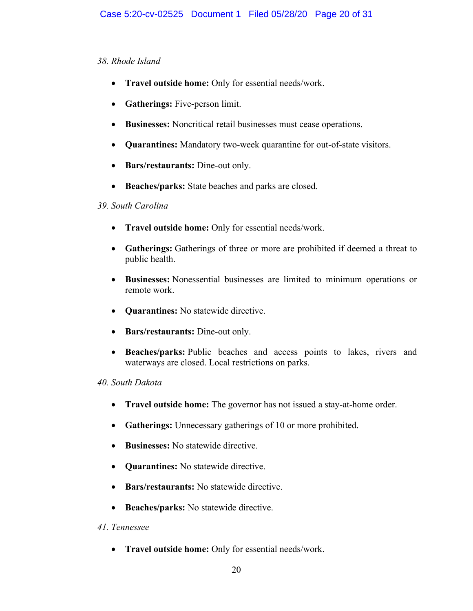#### *38. Rhode Island*

- **Travel outside home:** Only for essential needs/work.
- **Gatherings:** Five-person limit.
- **Businesses:** Noncritical retail businesses must cease operations.
- **Quarantines:** Mandatory two-week quarantine for out-of-state visitors.
- **Bars/restaurants:** Dine-out only.
- **Beaches/parks:** State beaches and parks are closed.

#### *39. South Carolina*

- **Travel outside home:** Only for essential needs/work.
- **Gatherings:** Gatherings of three or more are prohibited if deemed a threat to public health.
- **Businesses:** Nonessential businesses are limited to minimum operations or remote work.
- **Quarantines:** No statewide directive.
- **Bars/restaurants:** Dine-out only.
- **Beaches/parks:** Public beaches and access points to lakes, rivers and waterways are closed. Local restrictions on parks.

# *40. South Dakota*

- **Travel outside home:** The governor has not issued a stay-at-home order.
- **Gatherings:** Unnecessary gatherings of 10 or more prohibited.
- **Businesses:** No statewide directive.
- **Quarantines:** No statewide directive.
- **Bars/restaurants:** No statewide directive.
- **Beaches/parks:** No statewide directive.

# *41. Tennessee*

• **Travel outside home:** Only for essential needs/work.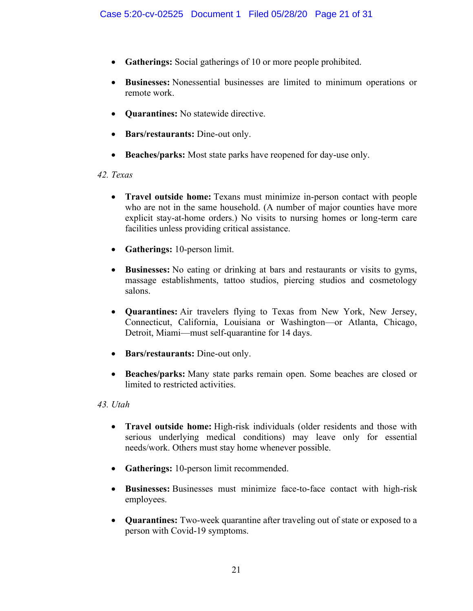- **Gatherings:** Social gatherings of 10 or more people prohibited.
- **Businesses:** Nonessential businesses are limited to minimum operations or remote work.
- **Quarantines:** No statewide directive.
- **Bars/restaurants:** Dine-out only.
- **Beaches/parks:** Most state parks have reopened for day-use only.

# *42. Texas*

- **Travel outside home:** Texans must minimize in-person contact with people who are not in the same household. (A number of major counties have more explicit stay-at-home orders.) No visits to nursing homes or long-term care facilities unless providing critical assistance.
- **Gatherings:** 10-person limit.
- **Businesses:** No eating or drinking at bars and restaurants or visits to gyms, massage establishments, tattoo studios, piercing studios and cosmetology salons.
- **Quarantines:** Air travelers flying to Texas from New York, New Jersey, Connecticut, California, Louisiana or Washington—or Atlanta, Chicago, Detroit, Miami—must self-quarantine for 14 days.
- **Bars/restaurants:** Dine-out only.
- **Beaches/parks:** Many state parks remain open. Some beaches are closed or limited to restricted activities.

# *43. Utah*

- **Travel outside home:** High-risk individuals (older residents and those with serious underlying medical conditions) may leave only for essential needs/work. Others must stay home whenever possible.
- **Gatherings:** 10-person limit recommended.
- **Businesses:** Businesses must minimize face-to-face contact with high-risk employees.
- **Quarantines:** Two-week quarantine after traveling out of state or exposed to a person with Covid-19 symptoms.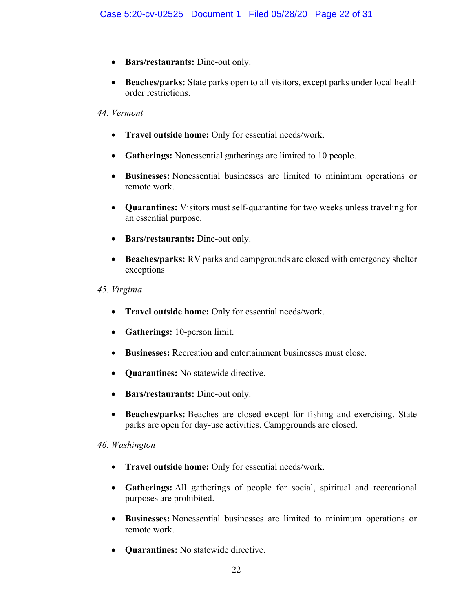- **Bars/restaurants:** Dine-out only.
- **Beaches/parks:** State parks open to all visitors, except parks under local health order restrictions.

#### *44. Vermont*

- **Travel outside home:** Only for essential needs/work.
- **Gatherings:** Nonessential gatherings are limited to 10 people.
- **Businesses:** Nonessential businesses are limited to minimum operations or remote work.
- **Quarantines:** Visitors must self-quarantine for two weeks unless traveling for an essential purpose.
- **Bars/restaurants:** Dine-out only.
- **Beaches/parks:** RV parks and campgrounds are closed with emergency shelter exceptions
- *45. Virginia*
	- **Travel outside home:** Only for essential needs/work.
	- **Gatherings:** 10-person limit.
	- **Businesses:** Recreation and entertainment businesses must close.
	- **Quarantines:** No statewide directive.
	- **Bars/restaurants:** Dine-out only.
	- **Beaches/parks:** Beaches are closed except for fishing and exercising. State parks are open for day-use activities. Campgrounds are closed.

#### *46. Washington*

- **Travel outside home:** Only for essential needs/work.
- **Gatherings:** All gatherings of people for social, spiritual and recreational purposes are prohibited.
- **Businesses:** Nonessential businesses are limited to minimum operations or remote work.
- **Quarantines:** No statewide directive.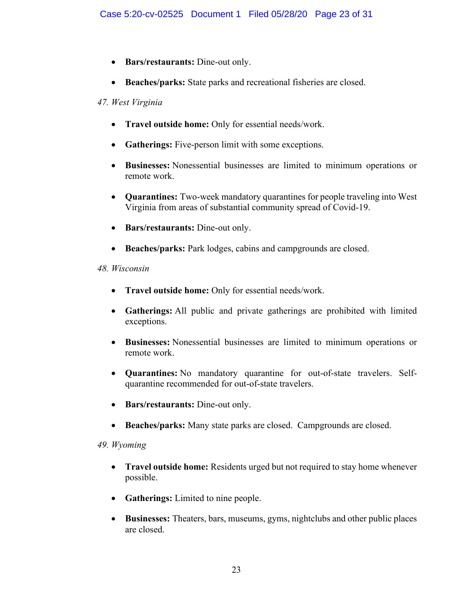- **Bars/restaurants:** Dine-out only.
- **Beaches/parks:** State parks and recreational fisheries are closed.

# *47. West Virginia*

- **Travel outside home:** Only for essential needs/work.
- **Gatherings:** Five-person limit with some exceptions.
- **Businesses:** Nonessential businesses are limited to minimum operations or remote work.
- **Quarantines:** Two-week mandatory quarantines for people traveling into West Virginia from areas of substantial community spread of Covid-19.
- **Bars/restaurants:** Dine-out only.
- **Beaches/parks:** Park lodges, cabins and campgrounds are closed.

# *48. Wisconsin*

- **Travel outside home:** Only for essential needs/work.
- **Gatherings:** All public and private gatherings are prohibited with limited exceptions.
- **Businesses:** Nonessential businesses are limited to minimum operations or remote work.
- **Quarantines:** No mandatory quarantine for out-of-state travelers. Selfquarantine recommended for out-of-state travelers.
- **Bars/restaurants:** Dine-out only.
- **Beaches/parks:** Many state parks are closed. Campgrounds are closed.

# *49. Wyoming*

- **Travel outside home:** Residents urged but not required to stay home whenever possible.
- **Gatherings:** Limited to nine people.
- **Businesses:** Theaters, bars, museums, gyms, nightclubs and other public places are closed.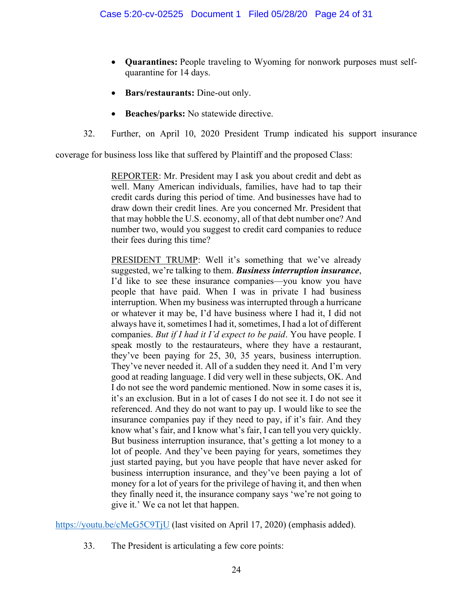- **Quarantines:** People traveling to Wyoming for nonwork purposes must selfquarantine for 14 days.
- **Bars/restaurants:** Dine-out only.
- **Beaches/parks:** No statewide directive.
- 32. Further, on April 10, 2020 President Trump indicated his support insurance

coverage for business loss like that suffered by Plaintiff and the proposed Class:

REPORTER: Mr. President may I ask you about credit and debt as well. Many American individuals, families, have had to tap their credit cards during this period of time. And businesses have had to draw down their credit lines. Are you concerned Mr. President that that may hobble the U.S. economy, all of that debt number one? And number two, would you suggest to credit card companies to reduce their fees during this time?

PRESIDENT TRUMP: Well it's something that we've already suggested, we're talking to them. *Business interruption insurance*, I'd like to see these insurance companies—you know you have people that have paid. When I was in private I had business interruption. When my business was interrupted through a hurricane or whatever it may be, I'd have business where I had it, I did not always have it, sometimes I had it, sometimes, I had a lot of different companies. *But if I had it I'd expect to be paid*. You have people. I speak mostly to the restaurateurs, where they have a restaurant, they've been paying for 25, 30, 35 years, business interruption. They've never needed it. All of a sudden they need it. And I'm very good at reading language. I did very well in these subjects, OK. And I do not see the word pandemic mentioned. Now in some cases it is, it's an exclusion. But in a lot of cases I do not see it. I do not see it referenced. And they do not want to pay up. I would like to see the insurance companies pay if they need to pay, if it's fair. And they know what's fair, and I know what's fair, I can tell you very quickly. But business interruption insurance, that's getting a lot money to a lot of people. And they've been paying for years, sometimes they just started paying, but you have people that have never asked for business interruption insurance, and they've been paying a lot of money for a lot of years for the privilege of having it, and then when they finally need it, the insurance company says 'we're not going to give it.' We ca not let that happen.

<https://youtu.be/cMeG5C9TjU> (last visited on April 17, 2020) (emphasis added).

33. The President is articulating a few core points: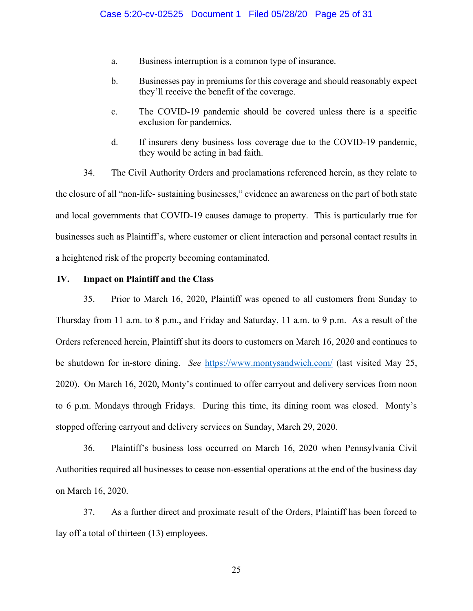- a. Business interruption is a common type of insurance.
- b. Businesses pay in premiums for this coverage and should reasonably expect they'll receive the benefit of the coverage.
- c. The COVID-19 pandemic should be covered unless there is a specific exclusion for pandemics.
- d. If insurers deny business loss coverage due to the COVID-19 pandemic, they would be acting in bad faith.

34. The Civil Authority Orders and proclamations referenced herein, as they relate to the closure of all "non-life- sustaining businesses," evidence an awareness on the part of both state and local governments that COVID-19 causes damage to property. This is particularly true for businesses such as Plaintiff's, where customer or client interaction and personal contact results in a heightened risk of the property becoming contaminated.

#### **IV. Impact on Plaintiff and the Class**

35. Prior to March 16, 2020, Plaintiff was opened to all customers from Sunday to Thursday from 11 a.m. to 8 p.m., and Friday and Saturday, 11 a.m. to 9 p.m. As a result of the Orders referenced herein, Plaintiff shut its doors to customers on March 16, 2020 and continues to be shutdown for in-store dining. *See* <https://www.montysandwich.com/> (last visited May 25, 2020). On March 16, 2020, Monty's continued to offer carryout and delivery services from noon to 6 p.m. Mondays through Fridays. During this time, its dining room was closed. Monty's stopped offering carryout and delivery services on Sunday, March 29, 2020.

36. Plaintiff's business loss occurred on March 16, 2020 when Pennsylvania Civil Authorities required all businesses to cease non-essential operations at the end of the business day on March 16, 2020.

37. As a further direct and proximate result of the Orders, Plaintiff has been forced to lay off a total of thirteen (13) employees.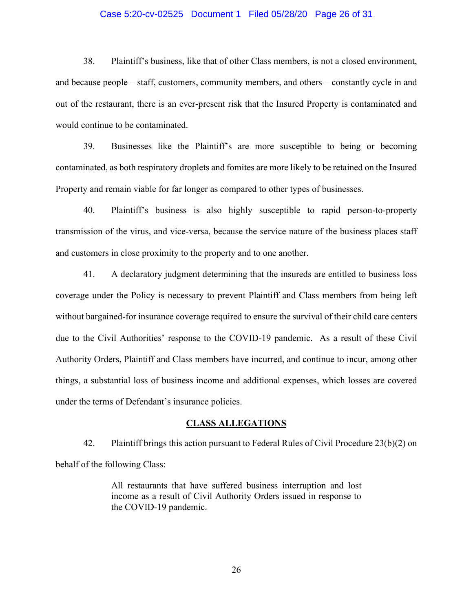#### Case 5:20-cv-02525 Document 1 Filed 05/28/20 Page 26 of 31

38. Plaintiff's business, like that of other Class members, is not a closed environment, and because people – staff, customers, community members, and others – constantly cycle in and out of the restaurant, there is an ever-present risk that the Insured Property is contaminated and would continue to be contaminated.

39. Businesses like the Plaintiff's are more susceptible to being or becoming contaminated, as both respiratory droplets and fomites are more likely to be retained on the Insured Property and remain viable for far longer as compared to other types of businesses.

40. Plaintiff's business is also highly susceptible to rapid person-to-property transmission of the virus, and vice-versa, because the service nature of the business places staff and customers in close proximity to the property and to one another.

41. A declaratory judgment determining that the insureds are entitled to business loss coverage under the Policy is necessary to prevent Plaintiff and Class members from being left without bargained-for insurance coverage required to ensure the survival of their child care centers due to the Civil Authorities' response to the COVID-19 pandemic. As a result of these Civil Authority Orders, Plaintiff and Class members have incurred, and continue to incur, among other things, a substantial loss of business income and additional expenses, which losses are covered under the terms of Defendant's insurance policies.

#### **CLASS ALLEGATIONS**

42. Plaintiff brings this action pursuant to Federal Rules of Civil Procedure 23(b)(2) on behalf of the following Class:

> All restaurants that have suffered business interruption and lost income as a result of Civil Authority Orders issued in response to the COVID-19 pandemic.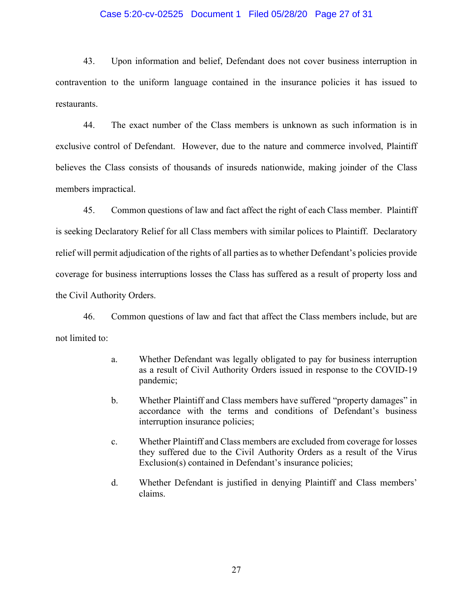#### Case 5:20-cv-02525 Document 1 Filed 05/28/20 Page 27 of 31

43. Upon information and belief, Defendant does not cover business interruption in contravention to the uniform language contained in the insurance policies it has issued to restaurants.

44. The exact number of the Class members is unknown as such information is in exclusive control of Defendant. However, due to the nature and commerce involved, Plaintiff believes the Class consists of thousands of insureds nationwide, making joinder of the Class members impractical.

45. Common questions of law and fact affect the right of each Class member. Plaintiff is seeking Declaratory Relief for all Class members with similar polices to Plaintiff. Declaratory relief will permit adjudication of the rights of all parties as to whether Defendant's policies provide coverage for business interruptions losses the Class has suffered as a result of property loss and the Civil Authority Orders.

46. Common questions of law and fact that affect the Class members include, but are not limited to:

- a. Whether Defendant was legally obligated to pay for business interruption as a result of Civil Authority Orders issued in response to the COVID-19 pandemic;
- b. Whether Plaintiff and Class members have suffered "property damages" in accordance with the terms and conditions of Defendant's business interruption insurance policies;
- c. Whether Plaintiff and Class members are excluded from coverage for losses they suffered due to the Civil Authority Orders as a result of the Virus Exclusion(s) contained in Defendant's insurance policies;
- d. Whether Defendant is justified in denying Plaintiff and Class members' claims.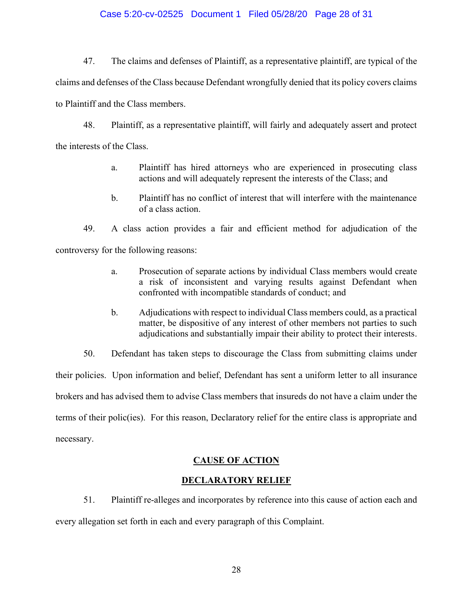#### Case 5:20-cv-02525 Document 1 Filed 05/28/20 Page 28 of 31

47. The claims and defenses of Plaintiff, as a representative plaintiff, are typical of the claims and defenses of the Class because Defendant wrongfully denied that its policy covers claims to Plaintiff and the Class members.

48. Plaintiff, as a representative plaintiff, will fairly and adequately assert and protect the interests of the Class.

- a. Plaintiff has hired attorneys who are experienced in prosecuting class actions and will adequately represent the interests of the Class; and
- b. Plaintiff has no conflict of interest that will interfere with the maintenance of a class action.

49. A class action provides a fair and efficient method for adjudication of the controversy for the following reasons:

- a. Prosecution of separate actions by individual Class members would create a risk of inconsistent and varying results against Defendant when confronted with incompatible standards of conduct; and
- b. Adjudications with respect to individual Class members could, as a practical matter, be dispositive of any interest of other members not parties to such adjudications and substantially impair their ability to protect their interests.

50. Defendant has taken steps to discourage the Class from submitting claims under their policies. Upon information and belief, Defendant has sent a uniform letter to all insurance brokers and has advised them to advise Class members that insureds do not have a claim under the terms of their polic(ies). For this reason, Declaratory relief for the entire class is appropriate and necessary.

# **CAUSE OF ACTION**

#### **DECLARATORY RELIEF**

51. Plaintiff re-alleges and incorporates by reference into this cause of action each and

every allegation set forth in each and every paragraph of this Complaint.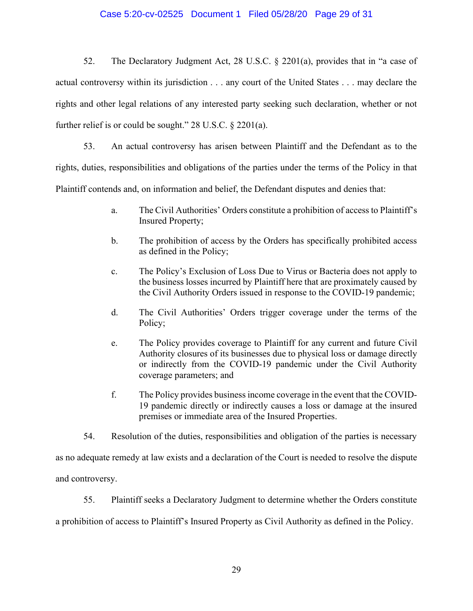#### Case 5:20-cv-02525 Document 1 Filed 05/28/20 Page 29 of 31

52. The Declaratory Judgment Act, 28 U.S.C. § 2201(a), provides that in "a case of actual controversy within its jurisdiction . . . any court of the United States . . . may declare the rights and other legal relations of any interested party seeking such declaration, whether or not further relief is or could be sought." 28 U.S.C. § 2201(a).

53. An actual controversy has arisen between Plaintiff and the Defendant as to the rights, duties, responsibilities and obligations of the parties under the terms of the Policy in that Plaintiff contends and, on information and belief, the Defendant disputes and denies that:

- a. The Civil Authorities' Orders constitute a prohibition of access to Plaintiff's Insured Property;
- b. The prohibition of access by the Orders has specifically prohibited access as defined in the Policy;
- c. The Policy's Exclusion of Loss Due to Virus or Bacteria does not apply to the business losses incurred by Plaintiff here that are proximately caused by the Civil Authority Orders issued in response to the COVID-19 pandemic;
- d. The Civil Authorities' Orders trigger coverage under the terms of the Policy;
- e. The Policy provides coverage to Plaintiff for any current and future Civil Authority closures of its businesses due to physical loss or damage directly or indirectly from the COVID-19 pandemic under the Civil Authority coverage parameters; and
- f. The Policy provides business income coverage in the event that the COVID-19 pandemic directly or indirectly causes a loss or damage at the insured premises or immediate area of the Insured Properties.
- 54. Resolution of the duties, responsibilities and obligation of the parties is necessary

as no adequate remedy at law exists and a declaration of the Court is needed to resolve the dispute and controversy.

55. Plaintiff seeks a Declaratory Judgment to determine whether the Orders constitute

a prohibition of access to Plaintiff's Insured Property as Civil Authority as defined in the Policy.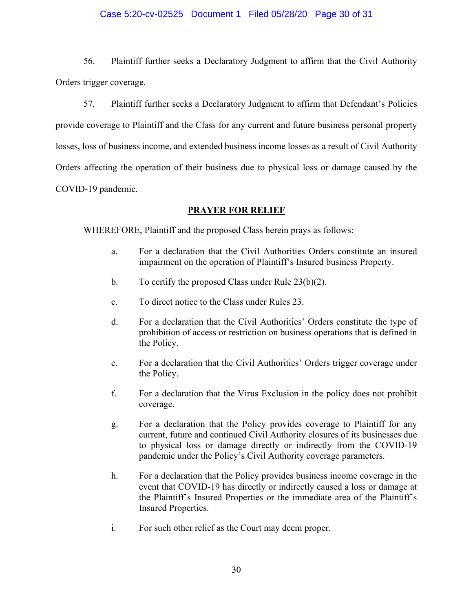#### Case 5:20-cv-02525 Document 1 Filed 05/28/20 Page 30 of 31

56. Plaintiff further seeks a Declaratory Judgment to affirm that the Civil Authority Orders trigger coverage.

57. Plaintiff further seeks a Declaratory Judgment to affirm that Defendant's Policies provide coverage to Plaintiff and the Class for any current and future business personal property losses, loss of business income, and extended business income losses as a result of Civil Authority Orders affecting the operation of their business due to physical loss or damage caused by the COVID-19 pandemic.

#### **PRAYER FOR RELIEF**

WHEREFORE, Plaintiff and the proposed Class herein prays as follows:

- a. For a declaration that the Civil Authorities Orders constitute an insured impairment on the operation of Plaintiff's Insured business Property.
- b. To certify the proposed Class under Rule 23(b)(2).
- c. To direct notice to the Class under Rules 23.
- d. For a declaration that the Civil Authorities' Orders constitute the type of prohibition of access or restriction on business operations that is defined in the Policy.
- e. For a declaration that the Civil Authorities' Orders trigger coverage under the Policy.
- f. For a declaration that the Virus Exclusion in the policy does not prohibit coverage.
- g. For a declaration that the Policy provides coverage to Plaintiff for any current, future and continued Civil Authority closures of its businesses due to physical loss or damage directly or indirectly from the COVID-19 pandemic under the Policy's Civil Authority coverage parameters.
- h. For a declaration that the Policy provides business income coverage in the event that COVID-19 has directly or indirectly caused a loss or damage at the Plaintiff's Insured Properties or the immediate area of the Plaintiff's Insured Properties.
- i. For such other relief as the Court may deem proper.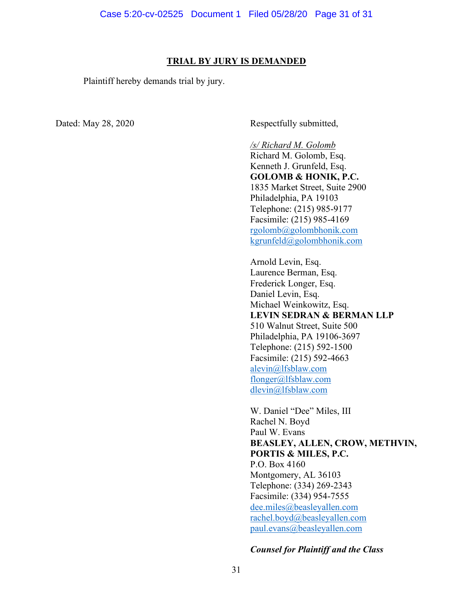#### **TRIAL BY JURY IS DEMANDED**

Plaintiff hereby demands trial by jury.

Dated: May 28, 2020 Respectfully submitted,

*/s/ Richard M. Golomb* Richard M. Golomb, Esq. Kenneth J. Grunfeld, Esq. **GOLOMB & HONIK, P.C.** 1835 Market Street, Suite 2900 Philadelphia, PA 19103 Telephone: (215) 985-9177 Facsimile: (215) 985-4169 [rgolomb@golombhonik.com](mailto:rgolomb@golombhonik.com) [kgrunfeld@golombhonik.com](mailto:kgrunfeld@golombhonik.com)

Arnold Levin, Esq. Laurence Berman, Esq. Frederick Longer, Esq. Daniel Levin, Esq. Michael Weinkowitz, Esq. **LEVIN SEDRAN & BERMAN LLP** 510 Walnut Street, Suite 500 Philadelphia, PA 19106-3697 Telephone: (215) 592-1500 Facsimile: (215) 592-4663 [alevin@lfsblaw.com](mailto:alevin@lfsblaw.com) [flonger@lfsblaw.com](mailto:flonger@lfsblaw.com) [dlevin@lfsblaw.com](mailto:dlevin@lfsblaw.com)

W. Daniel "Dee" Miles, III Rachel N. Boyd Paul W. Evans **BEASLEY, ALLEN, CROW, METHVIN, PORTIS & MILES, P.C.**  P.O. Box 4160 Montgomery, AL 36103 Telephone: (334) 269-2343 Facsimile: (334) 954-7555 [dee.miles@beasleyallen.com](mailto:dee.miles@beasleyallen.com) [rachel.boyd@beasleyallen.com](mailto:rachel.boyd@beasleyallen.com) [paul.evans@beasleyallen.com](mailto:paul.evans@beasleyallen.com)

#### *Counsel for Plaintiff and the Class*